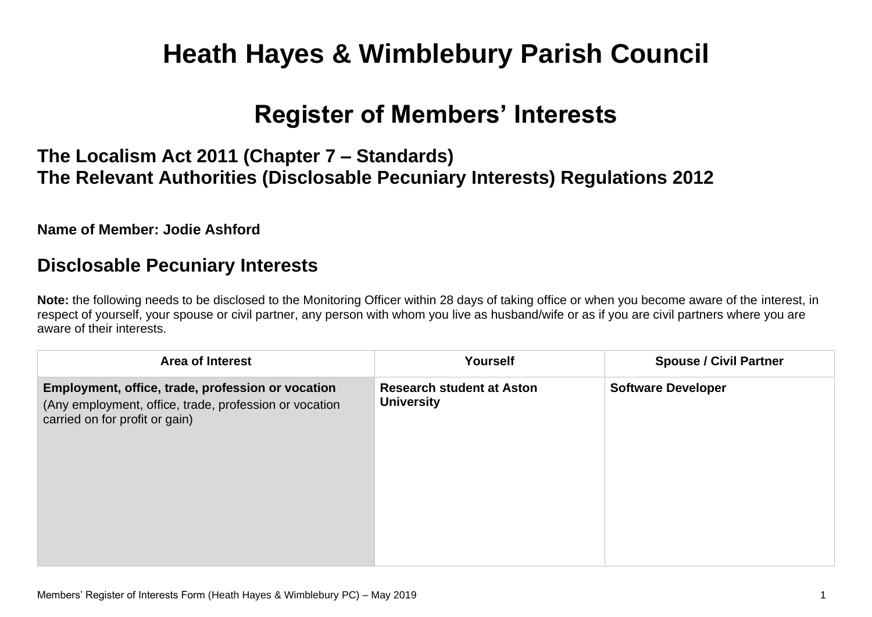# **Heath Hayes & Wimblebury Parish Council**

## **Register of Members' Interests**

## **The Localism Act 2011 (Chapter 7 – Standards) The Relevant Authorities (Disclosable Pecuniary Interests) Regulations 2012**

#### **Name of Member: Jodie Ashford**

### **Disclosable Pecuniary Interests**

**Note:** the following needs to be disclosed to the Monitoring Officer within 28 days of taking office or when you become aware of the interest, in respect of yourself, your spouse or civil partner, any person with whom you live as husband/wife or as if you are civil partners where you are aware of their interests.

| <b>Area of Interest</b>                                                                                                                       | Yourself                                              | <b>Spouse / Civil Partner</b> |
|-----------------------------------------------------------------------------------------------------------------------------------------------|-------------------------------------------------------|-------------------------------|
| Employment, office, trade, profession or vocation<br>(Any employment, office, trade, profession or vocation<br>carried on for profit or gain) | <b>Research student at Aston</b><br><b>University</b> | <b>Software Developer</b>     |
|                                                                                                                                               |                                                       |                               |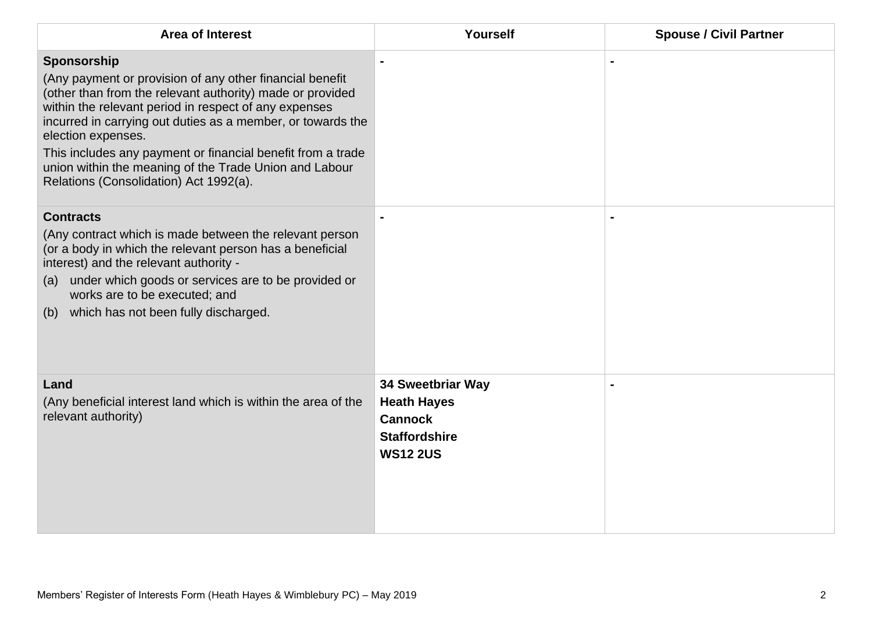| <b>Area of Interest</b>                                                                                                                                                                                                                                                                                                                                                                                                                               | Yourself                                                                                                    | <b>Spouse / Civil Partner</b> |
|-------------------------------------------------------------------------------------------------------------------------------------------------------------------------------------------------------------------------------------------------------------------------------------------------------------------------------------------------------------------------------------------------------------------------------------------------------|-------------------------------------------------------------------------------------------------------------|-------------------------------|
| Sponsorship<br>(Any payment or provision of any other financial benefit<br>(other than from the relevant authority) made or provided<br>within the relevant period in respect of any expenses<br>incurred in carrying out duties as a member, or towards the<br>election expenses.<br>This includes any payment or financial benefit from a trade<br>union within the meaning of the Trade Union and Labour<br>Relations (Consolidation) Act 1992(a). |                                                                                                             |                               |
| <b>Contracts</b><br>(Any contract which is made between the relevant person<br>(or a body in which the relevant person has a beneficial<br>interest) and the relevant authority -<br>under which goods or services are to be provided or<br>(a)<br>works are to be executed; and<br>which has not been fully discharged.<br>(b)                                                                                                                       |                                                                                                             |                               |
| Land<br>(Any beneficial interest land which is within the area of the<br>relevant authority)                                                                                                                                                                                                                                                                                                                                                          | <b>34 Sweetbriar Way</b><br><b>Heath Hayes</b><br><b>Cannock</b><br><b>Staffordshire</b><br><b>WS12 2US</b> |                               |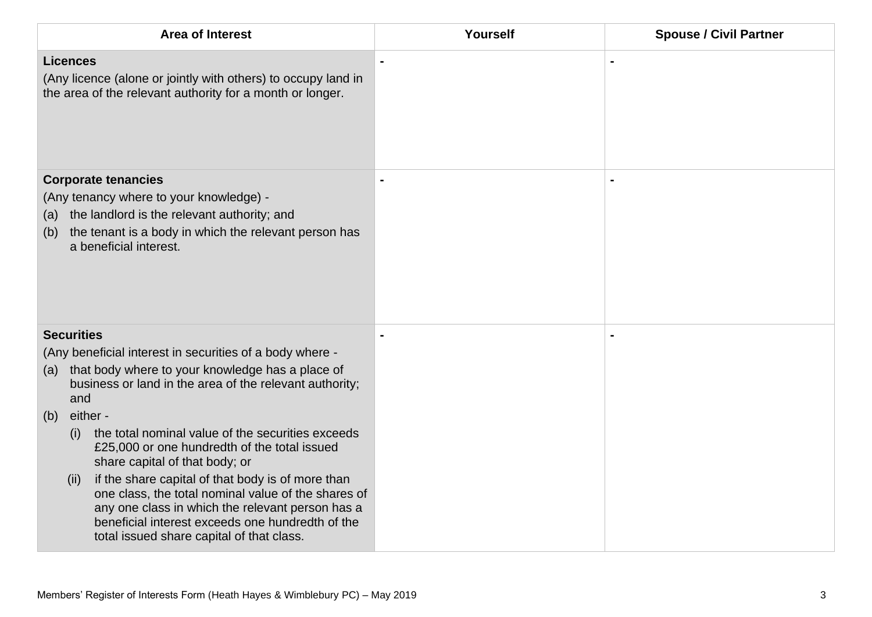| <b>Area of Interest</b>                                                                                                                                                                                               | Yourself       | <b>Spouse / Civil Partner</b> |
|-----------------------------------------------------------------------------------------------------------------------------------------------------------------------------------------------------------------------|----------------|-------------------------------|
| <b>Licences</b><br>(Any licence (alone or jointly with others) to occupy land in<br>the area of the relevant authority for a month or longer.                                                                         |                |                               |
| <b>Corporate tenancies</b><br>(Any tenancy where to your knowledge) -<br>the landlord is the relevant authority; and<br>(a)<br>the tenant is a body in which the relevant person has<br>(b)<br>a beneficial interest. | $\blacksquare$ |                               |
| <b>Securities</b>                                                                                                                                                                                                     |                |                               |
| (Any beneficial interest in securities of a body where -<br>that body where to your knowledge has a place of<br>(a)<br>business or land in the area of the relevant authority;<br>and                                 |                |                               |
| either -<br>(b)                                                                                                                                                                                                       |                |                               |
| the total nominal value of the securities exceeds<br>(i)<br>£25,000 or one hundredth of the total issued<br>share capital of that body; or<br>if the share capital of that body is of more than<br>(ii)               |                |                               |
| one class, the total nominal value of the shares of<br>any one class in which the relevant person has a<br>beneficial interest exceeds one hundredth of the<br>total issued share capital of that class.              |                |                               |